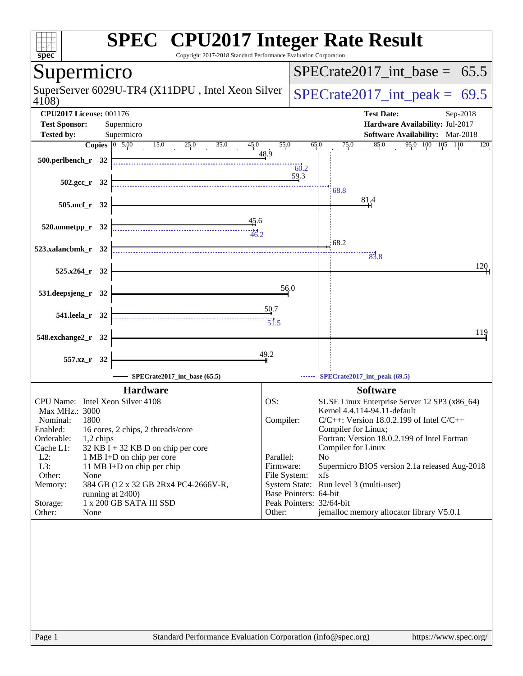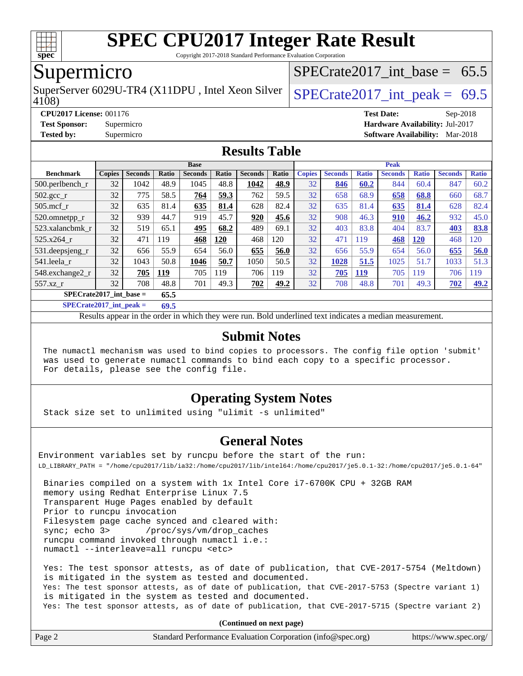

Copyright 2017-2018 Standard Performance Evaluation Corporation

#### Supermicro

SuperServer 6029U-TR4 (X11DPU, Intel Xeon Silver  $\big|$  SPECrate 2017 int peak = 69.5

SPECrate2017 int\_base =  $65.5$ 

4108)

#### **[Results Table](http://www.spec.org/auto/cpu2017/Docs/result-fields.html#ResultsTable)**

|                           |               |                |       | <b>Base</b>    |            |                |       |               |                |              | <b>Peak</b>    |              |                |              |
|---------------------------|---------------|----------------|-------|----------------|------------|----------------|-------|---------------|----------------|--------------|----------------|--------------|----------------|--------------|
| <b>Benchmark</b>          | <b>Copies</b> | <b>Seconds</b> | Ratio | <b>Seconds</b> | Ratio      | <b>Seconds</b> | Ratio | <b>Copies</b> | <b>Seconds</b> | <b>Ratio</b> | <b>Seconds</b> | <b>Ratio</b> | <b>Seconds</b> | <b>Ratio</b> |
| $500$ .perlbench r        | 32            | 1042           | 48.9  | 1045           | 48.8       | 1042           | 48.9  | 32            | 846            | 60.2         | 844            | 60.4         | 847            | 60.2         |
| 502.gcc_r                 | 32            | 775            | 58.5  | 764            | 59.3       | 762            | 59.5  | 32            | 658            | 68.9         | 658            | 68.8         | 660            | 68.7         |
| $505$ .mcf r              | 32            | 635            | 81.4  | 635            | 81.4       | 628            | 82.4  | 32            | 635            | 81.4         | 635            | 81.4         | 628            | 82.4         |
| 520.omnetpp_r             | 32            | 939            | 44.7  | 919            | 45.7       | 920            | 45.6  | 32            | 908            | 46.3         | 910            | 46.2         | 932            | 45.0         |
| 523.xalancbmk r           | 32            | 519            | 65.1  | 495            | 68.2       | 489            | 69.1  | 32            | 403            | 83.8         | 404            | 83.7         | 403            | 83.8         |
| 525.x264 r                | 32            | 471            | 119   | 468            | <b>120</b> | 468            | 120   | 32            | 471            | 119          | 468            | <b>120</b>   | 468            | 120          |
| 531.deepsjeng_r           | 32            | 656            | 55.9  | 654            | 56.0       | 655            | 56.0  | 32            | 656            | 55.9         | 654            | 56.0         | 655            | 56.0         |
| 541.leela r               | 32            | 1043           | 50.8  | 1046           | 50.7       | 1050           | 50.5  | 32            | 1028           | 51.5         | 1025           | 51.7         | 1033           | 51.3         |
| 548.exchange2_r           | 32            | 705            | 119   | 705            | 119        | 706            | 119   | 32            | 705            | <b>119</b>   | 705            | 119          | 706            | 119          |
| 557.xz r                  | 32            | 708            | 48.8  | 701            | 49.3       | 702            | 49.2  | 32            | 708            | 48.8         | 701            | 49.3         | 702            | 49.2         |
| $SPECrate2017$ int base = |               |                | 65.5  |                |            |                |       |               |                |              |                |              |                |              |

**[SPECrate2017\\_int\\_peak =](http://www.spec.org/auto/cpu2017/Docs/result-fields.html#SPECrate2017intpeak) 69.5**

Results appear in the [order in which they were run.](http://www.spec.org/auto/cpu2017/Docs/result-fields.html#RunOrder) Bold underlined text [indicates a median measurement.](http://www.spec.org/auto/cpu2017/Docs/result-fields.html#Median)

#### **[Submit Notes](http://www.spec.org/auto/cpu2017/Docs/result-fields.html#SubmitNotes)**

 The numactl mechanism was used to bind copies to processors. The config file option 'submit' was used to generate numactl commands to bind each copy to a specific processor. For details, please see the config file.

#### **[Operating System Notes](http://www.spec.org/auto/cpu2017/Docs/result-fields.html#OperatingSystemNotes)**

Stack size set to unlimited using "ulimit -s unlimited"

#### **[General Notes](http://www.spec.org/auto/cpu2017/Docs/result-fields.html#GeneralNotes)**

Environment variables set by runcpu before the start of the run: LD\_LIBRARY\_PATH = "/home/cpu2017/lib/ia32:/home/cpu2017/lib/intel64:/home/cpu2017/je5.0.1-32:/home/cpu2017/je5.0.1-64"

 Binaries compiled on a system with 1x Intel Core i7-6700K CPU + 32GB RAM memory using Redhat Enterprise Linux 7.5 Transparent Huge Pages enabled by default Prior to runcpu invocation Filesystem page cache synced and cleared with: sync; echo 3> /proc/sys/vm/drop\_caches runcpu command invoked through numactl i.e.: numactl --interleave=all runcpu <etc>

 Yes: The test sponsor attests, as of date of publication, that CVE-2017-5754 (Meltdown) is mitigated in the system as tested and documented. Yes: The test sponsor attests, as of date of publication, that CVE-2017-5753 (Spectre variant 1) is mitigated in the system as tested and documented. Yes: The test sponsor attests, as of date of publication, that CVE-2017-5715 (Spectre variant 2)

**(Continued on next page)**

| Page | Standard Performance Evaluation Corporation (info@spec.org) | https://www.spec.org/ |
|------|-------------------------------------------------------------|-----------------------|
|------|-------------------------------------------------------------|-----------------------|

**[CPU2017 License:](http://www.spec.org/auto/cpu2017/Docs/result-fields.html#CPU2017License)** 001176 **[Test Date:](http://www.spec.org/auto/cpu2017/Docs/result-fields.html#TestDate)** Sep-2018

**[Test Sponsor:](http://www.spec.org/auto/cpu2017/Docs/result-fields.html#TestSponsor)** Supermicro **[Hardware Availability:](http://www.spec.org/auto/cpu2017/Docs/result-fields.html#HardwareAvailability)** Jul-2017 **[Tested by:](http://www.spec.org/auto/cpu2017/Docs/result-fields.html#Testedby)** Supermicro **[Software Availability:](http://www.spec.org/auto/cpu2017/Docs/result-fields.html#SoftwareAvailability)** Mar-2018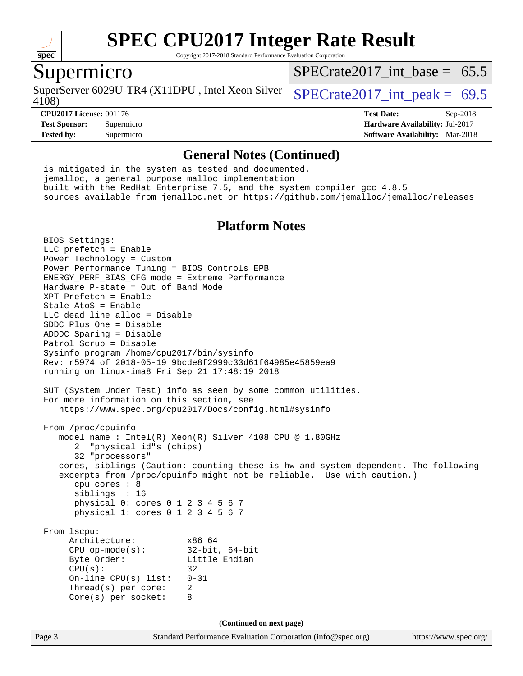

Copyright 2017-2018 Standard Performance Evaluation Corporation

### Supermicro

SuperServer 6029U-TR4 (X11DPU, Intel Xeon Silver  $SPECrate2017$  int peak = 69.5

 $SPECrate2017\_int\_base = 65.5$ 

#### 4108)

**[CPU2017 License:](http://www.spec.org/auto/cpu2017/Docs/result-fields.html#CPU2017License)** 001176 **[Test Date:](http://www.spec.org/auto/cpu2017/Docs/result-fields.html#TestDate)** Sep-2018 **[Test Sponsor:](http://www.spec.org/auto/cpu2017/Docs/result-fields.html#TestSponsor)** Supermicro **[Hardware Availability:](http://www.spec.org/auto/cpu2017/Docs/result-fields.html#HardwareAvailability)** Jul-2017 **[Tested by:](http://www.spec.org/auto/cpu2017/Docs/result-fields.html#Testedby)** Supermicro **[Software Availability:](http://www.spec.org/auto/cpu2017/Docs/result-fields.html#SoftwareAvailability)** Mar-2018

#### **[General Notes \(Continued\)](http://www.spec.org/auto/cpu2017/Docs/result-fields.html#GeneralNotes)**

 is mitigated in the system as tested and documented. jemalloc, a general purpose malloc implementation built with the RedHat Enterprise 7.5, and the system compiler gcc 4.8.5 sources available from jemalloc.net or <https://github.com/jemalloc/jemalloc/releases>

#### **[Platform Notes](http://www.spec.org/auto/cpu2017/Docs/result-fields.html#PlatformNotes)**

Page 3 Standard Performance Evaluation Corporation [\(info@spec.org\)](mailto:info@spec.org) <https://www.spec.org/> BIOS Settings: LLC prefetch = Enable Power Technology = Custom Power Performance Tuning = BIOS Controls EPB ENERGY\_PERF\_BIAS\_CFG mode = Extreme Performance Hardware P-state = Out of Band Mode XPT Prefetch = Enable Stale AtoS = Enable LLC dead line alloc = Disable SDDC Plus One = Disable ADDDC Sparing = Disable Patrol Scrub = Disable Sysinfo program /home/cpu2017/bin/sysinfo Rev: r5974 of 2018-05-19 9bcde8f2999c33d61f64985e45859ea9 running on linux-ima8 Fri Sep 21 17:48:19 2018 SUT (System Under Test) info as seen by some common utilities. For more information on this section, see <https://www.spec.org/cpu2017/Docs/config.html#sysinfo> From /proc/cpuinfo model name : Intel(R) Xeon(R) Silver 4108 CPU @ 1.80GHz 2 "physical id"s (chips) 32 "processors" cores, siblings (Caution: counting these is hw and system dependent. The following excerpts from /proc/cpuinfo might not be reliable. Use with caution.) cpu cores : 8 siblings : 16 physical 0: cores 0 1 2 3 4 5 6 7 physical 1: cores 0 1 2 3 4 5 6 7 From lscpu: Architecture: x86\_64 CPU op-mode(s): 32-bit, 64-bit Byte Order: Little Endian  $CPU(s):$  32 On-line CPU(s) list: 0-31 Thread(s) per core: 2 Core(s) per socket: 8 **(Continued on next page)**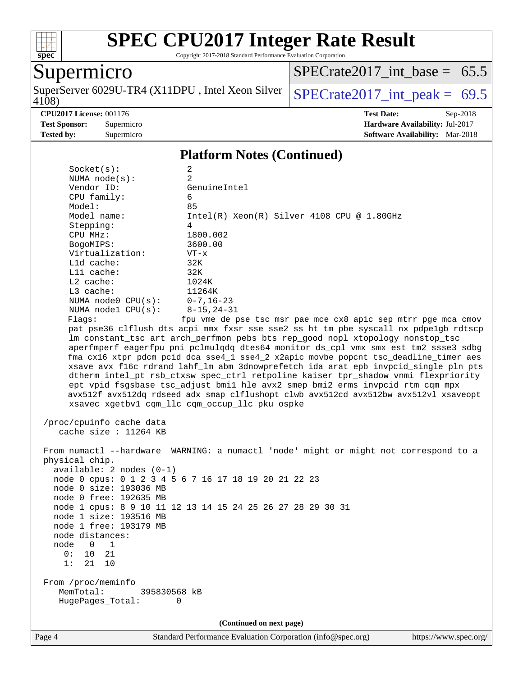

Copyright 2017-2018 Standard Performance Evaluation Corporation

## Supermicro

4108) SuperServer 6029U-TR4 (X11DPU, Intel Xeon Silver  $\sqrt{\text{SPECrate2017\_int\_peak}} = 69.5$ 

[SPECrate2017\\_int\\_base =](http://www.spec.org/auto/cpu2017/Docs/result-fields.html#SPECrate2017intbase) 65.5

**[CPU2017 License:](http://www.spec.org/auto/cpu2017/Docs/result-fields.html#CPU2017License)** 001176 **[Test Date:](http://www.spec.org/auto/cpu2017/Docs/result-fields.html#TestDate)** Sep-2018 **[Test Sponsor:](http://www.spec.org/auto/cpu2017/Docs/result-fields.html#TestSponsor)** Supermicro **[Hardware Availability:](http://www.spec.org/auto/cpu2017/Docs/result-fields.html#HardwareAvailability)** Jul-2017 **[Tested by:](http://www.spec.org/auto/cpu2017/Docs/result-fields.html#Testedby)** Supermicro **Supermicro [Software Availability:](http://www.spec.org/auto/cpu2017/Docs/result-fields.html#SoftwareAvailability)** Mar-2018

#### **[Platform Notes \(Continued\)](http://www.spec.org/auto/cpu2017/Docs/result-fields.html#PlatformNotes)**

| Socket(s):                                         | $\overline{a}$                                                                                                                                                        |
|----------------------------------------------------|-----------------------------------------------------------------------------------------------------------------------------------------------------------------------|
| NUMA $node(s):$<br>Vendor ID:                      | $\overline{2}$<br>GenuineIntel                                                                                                                                        |
| CPU family:                                        | 6                                                                                                                                                                     |
| Model:                                             | 85                                                                                                                                                                    |
| Model name:                                        | $Intel(R)$ Xeon $(R)$ Silver 4108 CPU @ 1.80GHz                                                                                                                       |
| Stepping:                                          | 4                                                                                                                                                                     |
| CPU MHz:                                           | 1800.002                                                                                                                                                              |
| BogoMIPS:                                          | 3600.00                                                                                                                                                               |
| Virtualization:                                    | $VT - x$                                                                                                                                                              |
| L1d cache:                                         | 32K                                                                                                                                                                   |
| Lli cache:                                         | 32K                                                                                                                                                                   |
| L2 cache:                                          | 1024K                                                                                                                                                                 |
| L3 cache:                                          | 11264K                                                                                                                                                                |
| NUMA node0 CPU(s):<br>NUMA node1 CPU(s):           | $0 - 7$ , 16-23<br>$8 - 15, 24 - 31$                                                                                                                                  |
| Flagg:                                             | fpu vme de pse tsc msr pae mce cx8 apic sep mtrr pge mca cmov                                                                                                         |
|                                                    | pat pse36 clflush dts acpi mmx fxsr sse sse2 ss ht tm pbe syscall nx pdpelgb rdtscp<br>lm constant_tsc art arch_perfmon pebs bts rep_good nopl xtopology nonstop_tsc  |
|                                                    | aperfmperf eagerfpu pni pclmulqdq dtes64 monitor ds_cpl vmx smx est tm2 ssse3 sdbg                                                                                    |
|                                                    | fma cx16 xtpr pdcm pcid dca sse4_1 sse4_2 x2apic movbe popcnt tsc_deadline_timer aes                                                                                  |
|                                                    | xsave avx f16c rdrand lahf_lm abm 3dnowprefetch ida arat epb invpcid_single pln pts                                                                                   |
|                                                    | dtherm intel_pt rsb_ctxsw spec_ctrl retpoline kaiser tpr_shadow vnmi flexpriority                                                                                     |
|                                                    | ept vpid fsgsbase tsc_adjust bmil hle avx2 smep bmi2 erms invpcid rtm cqm mpx<br>avx512f avx512dq rdseed adx smap clflushopt clwb avx512cd avx512bw avx512vl xsaveopt |
|                                                    | xsavec xgetbvl cqm_llc cqm_occup_llc pku ospke                                                                                                                        |
|                                                    |                                                                                                                                                                       |
| /proc/cpuinfo cache data<br>cache size : 11264 KB  |                                                                                                                                                                       |
|                                                    | From numactl --hardware WARNING: a numactl 'node' might or might not correspond to a                                                                                  |
| physical chip.                                     |                                                                                                                                                                       |
| $available: 2 nodes (0-1)$                         |                                                                                                                                                                       |
|                                                    | node 0 cpus: 0 1 2 3 4 5 6 7 16 17 18 19 20 21 22 23                                                                                                                  |
| node 0 size: 193036 MB                             |                                                                                                                                                                       |
| node 0 free: 192635 MB                             | node 1 cpus: 8 9 10 11 12 13 14 15 24 25 26 27 28 29 30 31                                                                                                            |
| node 1 size: 193516 MB                             |                                                                                                                                                                       |
| node 1 free: 193179 MB                             |                                                                                                                                                                       |
| node distances:                                    |                                                                                                                                                                       |
| node 0 1                                           |                                                                                                                                                                       |
| 0:<br>10<br>21                                     |                                                                                                                                                                       |
| 21<br>10<br>1:                                     |                                                                                                                                                                       |
|                                                    |                                                                                                                                                                       |
| From /proc/meminfo                                 |                                                                                                                                                                       |
| MemTotal:<br>395830568 kB<br>HugePages_Total:<br>0 |                                                                                                                                                                       |
|                                                    |                                                                                                                                                                       |
|                                                    | (Continued on next page)                                                                                                                                              |
|                                                    |                                                                                                                                                                       |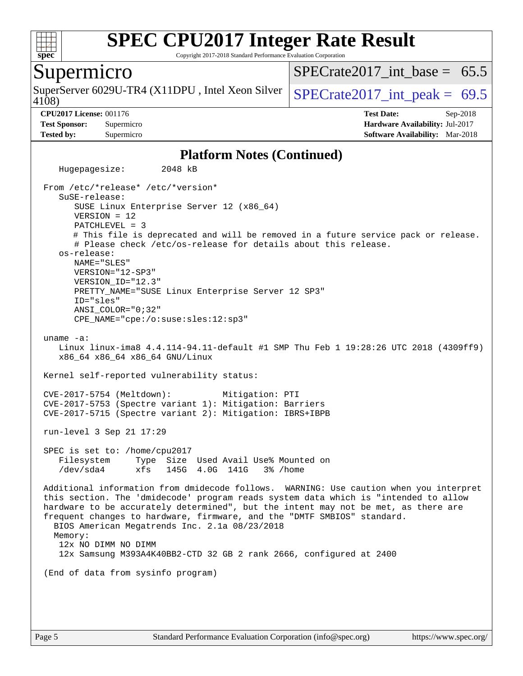

Copyright 2017-2018 Standard Performance Evaluation Corporation

### Supermicro

4108) SuperServer 6029U-TR4 (X11DPU, Intel Xeon Silver  $SPECrate2017$  int peak = 69.5

 $SPECrate2017\_int\_base = 65.5$ 

**[CPU2017 License:](http://www.spec.org/auto/cpu2017/Docs/result-fields.html#CPU2017License)** 001176 **[Test Date:](http://www.spec.org/auto/cpu2017/Docs/result-fields.html#TestDate)** Sep-2018 **[Test Sponsor:](http://www.spec.org/auto/cpu2017/Docs/result-fields.html#TestSponsor)** Supermicro **[Hardware Availability:](http://www.spec.org/auto/cpu2017/Docs/result-fields.html#HardwareAvailability)** Jul-2017 **[Tested by:](http://www.spec.org/auto/cpu2017/Docs/result-fields.html#Testedby)** Supermicro **[Software Availability:](http://www.spec.org/auto/cpu2017/Docs/result-fields.html#SoftwareAvailability)** Mar-2018

#### **[Platform Notes \(Continued\)](http://www.spec.org/auto/cpu2017/Docs/result-fields.html#PlatformNotes)**

 Hugepagesize: 2048 kB From /etc/\*release\* /etc/\*version\* SuSE-release: SUSE Linux Enterprise Server 12 (x86\_64) VERSION = 12 PATCHLEVEL = 3 # This file is deprecated and will be removed in a future service pack or release. # Please check /etc/os-release for details about this release. os-release: NAME="SLES" VERSION="12-SP3" VERSION\_ID="12.3" PRETTY\_NAME="SUSE Linux Enterprise Server 12 SP3" ID="sles" ANSI\_COLOR="0;32" CPE\_NAME="cpe:/o:suse:sles:12:sp3" uname -a: Linux linux-ima8 4.4.114-94.11-default #1 SMP Thu Feb 1 19:28:26 UTC 2018 (4309ff9) x86\_64 x86\_64 x86\_64 GNU/Linux Kernel self-reported vulnerability status: CVE-2017-5754 (Meltdown): Mitigation: PTI CVE-2017-5753 (Spectre variant 1): Mitigation: Barriers CVE-2017-5715 (Spectre variant 2): Mitigation: IBRS+IBPB run-level 3 Sep 21 17:29 SPEC is set to: /home/cpu2017 Filesystem Type Size Used Avail Use% Mounted on /dev/sda4 xfs 145G 4.0G 141G 3% /home Additional information from dmidecode follows. WARNING: Use caution when you interpret this section. The 'dmidecode' program reads system data which is "intended to allow hardware to be accurately determined", but the intent may not be met, as there are frequent changes to hardware, firmware, and the "DMTF SMBIOS" standard. BIOS American Megatrends Inc. 2.1a 08/23/2018 Memory: 12x NO DIMM NO DIMM 12x Samsung M393A4K40BB2-CTD 32 GB 2 rank 2666, configured at 2400 (End of data from sysinfo program)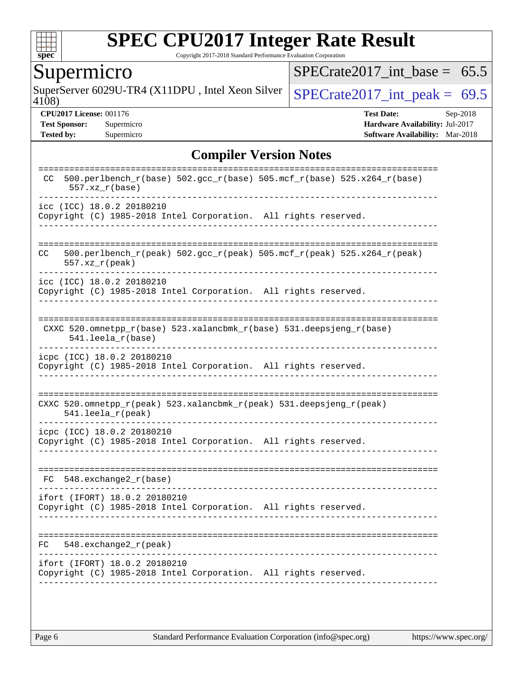

Copyright 2017-2018 Standard Performance Evaluation Corporation

### Supermicro

SuperServer 6029U-TR4 (X11DPU, Intel Xeon Silver  $SPECTate2017\_int\_peak = 69.5$ 

 $SPECTate2017\_int\_base = 65.5$ 

4108)

**[CPU2017 License:](http://www.spec.org/auto/cpu2017/Docs/result-fields.html#CPU2017License)** 001176 **[Test Date:](http://www.spec.org/auto/cpu2017/Docs/result-fields.html#TestDate)** Sep-2018 **[Test Sponsor:](http://www.spec.org/auto/cpu2017/Docs/result-fields.html#TestSponsor)** Supermicro **[Hardware Availability:](http://www.spec.org/auto/cpu2017/Docs/result-fields.html#HardwareAvailability)** Jul-2017 **[Tested by:](http://www.spec.org/auto/cpu2017/Docs/result-fields.html#Testedby)** Supermicro **Supermicro [Software Availability:](http://www.spec.org/auto/cpu2017/Docs/result-fields.html#SoftwareAvailability)** Mar-2018

#### **[Compiler Version Notes](http://www.spec.org/auto/cpu2017/Docs/result-fields.html#CompilerVersionNotes)**

| CC<br>$557.xx$ $r(base)$   | . _ _ _ _ _ _ _<br>500.perlbench_r(base) 502.gcc_r(base) 505.mcf_r(base) 525.x264_r(base)        |
|----------------------------|--------------------------------------------------------------------------------------------------|
| icc (ICC) 18.0.2 20180210  | Copyright (C) 1985-2018 Intel Corporation. All rights reserved.                                  |
| CC.<br>$557. xz_r (peak)$  | 500.perlbench_r(peak) 502.gcc_r(peak) 505.mcf_r(peak) 525.x264_r(peak)                           |
| icc (ICC) 18.0.2 20180210  | Copyright (C) 1985-2018 Intel Corporation. All rights reserved.                                  |
|                            | CXXC 520.omnetpp_r(base) 523.xalancbmk_r(base) 531.deepsjeng_r(base)<br>541.leela r(base)        |
| icpc (ICC) 18.0.2 20180210 | Copyright (C) 1985-2018 Intel Corporation. All rights reserved.                                  |
|                            |                                                                                                  |
|                            | CXXC 520.omnetpp_r(peak) 523.xalancbmk_r(peak) 531.deepsjeng_r(peak)<br>$541.$ leela r(peak)     |
|                            | icpc (ICC) 18.0.2 20180210<br>Copyright (C) 1985-2018 Intel Corporation. All rights reserved.    |
| FC                         | $548$ . exchange2 $r(base)$                                                                      |
|                            | ifort (IFORT) 18.0.2 20180210<br>Copyright (C) 1985-2018 Intel Corporation. All rights reserved. |
| FC.                        | $548$ . exchange2 $r$ (peak)                                                                     |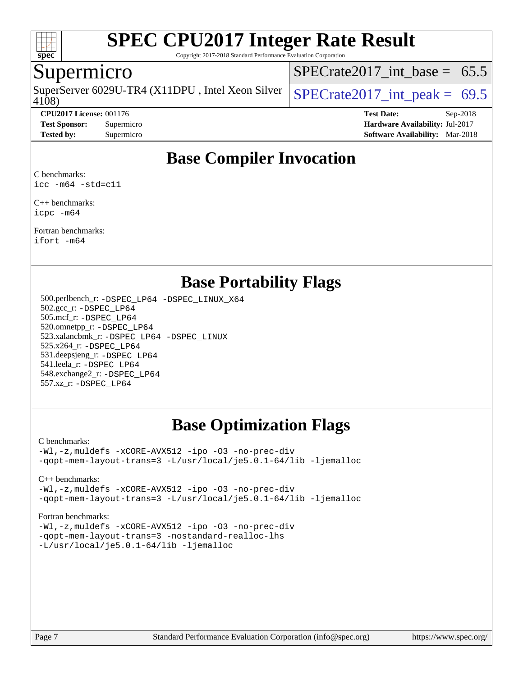

Copyright 2017-2018 Standard Performance Evaluation Corporation

### Supermicro

4108) SuperServer 6029U-TR4 (X11DPU, Intel Xeon Silver  $SPECrate2017$  int peak = 69.5

 $SPECTate2017\_int\_base = 65.5$ 

**[CPU2017 License:](http://www.spec.org/auto/cpu2017/Docs/result-fields.html#CPU2017License)** 001176 **[Test Date:](http://www.spec.org/auto/cpu2017/Docs/result-fields.html#TestDate)** Sep-2018 **[Test Sponsor:](http://www.spec.org/auto/cpu2017/Docs/result-fields.html#TestSponsor)** Supermicro **[Hardware Availability:](http://www.spec.org/auto/cpu2017/Docs/result-fields.html#HardwareAvailability)** Jul-2017 **[Tested by:](http://www.spec.org/auto/cpu2017/Docs/result-fields.html#Testedby)** Supermicro **[Software Availability:](http://www.spec.org/auto/cpu2017/Docs/result-fields.html#SoftwareAvailability)** Mar-2018

### **[Base Compiler Invocation](http://www.spec.org/auto/cpu2017/Docs/result-fields.html#BaseCompilerInvocation)**

[C benchmarks](http://www.spec.org/auto/cpu2017/Docs/result-fields.html#Cbenchmarks): [icc -m64 -std=c11](http://www.spec.org/cpu2017/results/res2018q4/cpu2017-20181002-09048.flags.html#user_CCbase_intel_icc_64bit_c11_33ee0cdaae7deeeab2a9725423ba97205ce30f63b9926c2519791662299b76a0318f32ddfffdc46587804de3178b4f9328c46fa7c2b0cd779d7a61945c91cd35)

[C++ benchmarks:](http://www.spec.org/auto/cpu2017/Docs/result-fields.html#CXXbenchmarks) [icpc -m64](http://www.spec.org/cpu2017/results/res2018q4/cpu2017-20181002-09048.flags.html#user_CXXbase_intel_icpc_64bit_4ecb2543ae3f1412ef961e0650ca070fec7b7afdcd6ed48761b84423119d1bf6bdf5cad15b44d48e7256388bc77273b966e5eb805aefd121eb22e9299b2ec9d9)

[Fortran benchmarks](http://www.spec.org/auto/cpu2017/Docs/result-fields.html#Fortranbenchmarks): [ifort -m64](http://www.spec.org/cpu2017/results/res2018q4/cpu2017-20181002-09048.flags.html#user_FCbase_intel_ifort_64bit_24f2bb282fbaeffd6157abe4f878425411749daecae9a33200eee2bee2fe76f3b89351d69a8130dd5949958ce389cf37ff59a95e7a40d588e8d3a57e0c3fd751)

#### **[Base Portability Flags](http://www.spec.org/auto/cpu2017/Docs/result-fields.html#BasePortabilityFlags)**

 500.perlbench\_r: [-DSPEC\\_LP64](http://www.spec.org/cpu2017/results/res2018q4/cpu2017-20181002-09048.flags.html#b500.perlbench_r_basePORTABILITY_DSPEC_LP64) [-DSPEC\\_LINUX\\_X64](http://www.spec.org/cpu2017/results/res2018q4/cpu2017-20181002-09048.flags.html#b500.perlbench_r_baseCPORTABILITY_DSPEC_LINUX_X64) 502.gcc\_r: [-DSPEC\\_LP64](http://www.spec.org/cpu2017/results/res2018q4/cpu2017-20181002-09048.flags.html#suite_basePORTABILITY502_gcc_r_DSPEC_LP64) 505.mcf\_r: [-DSPEC\\_LP64](http://www.spec.org/cpu2017/results/res2018q4/cpu2017-20181002-09048.flags.html#suite_basePORTABILITY505_mcf_r_DSPEC_LP64) 520.omnetpp\_r: [-DSPEC\\_LP64](http://www.spec.org/cpu2017/results/res2018q4/cpu2017-20181002-09048.flags.html#suite_basePORTABILITY520_omnetpp_r_DSPEC_LP64) 523.xalancbmk\_r: [-DSPEC\\_LP64](http://www.spec.org/cpu2017/results/res2018q4/cpu2017-20181002-09048.flags.html#suite_basePORTABILITY523_xalancbmk_r_DSPEC_LP64) [-DSPEC\\_LINUX](http://www.spec.org/cpu2017/results/res2018q4/cpu2017-20181002-09048.flags.html#b523.xalancbmk_r_baseCXXPORTABILITY_DSPEC_LINUX) 525.x264\_r: [-DSPEC\\_LP64](http://www.spec.org/cpu2017/results/res2018q4/cpu2017-20181002-09048.flags.html#suite_basePORTABILITY525_x264_r_DSPEC_LP64) 531.deepsjeng\_r: [-DSPEC\\_LP64](http://www.spec.org/cpu2017/results/res2018q4/cpu2017-20181002-09048.flags.html#suite_basePORTABILITY531_deepsjeng_r_DSPEC_LP64) 541.leela\_r: [-DSPEC\\_LP64](http://www.spec.org/cpu2017/results/res2018q4/cpu2017-20181002-09048.flags.html#suite_basePORTABILITY541_leela_r_DSPEC_LP64) 548.exchange2\_r: [-DSPEC\\_LP64](http://www.spec.org/cpu2017/results/res2018q4/cpu2017-20181002-09048.flags.html#suite_basePORTABILITY548_exchange2_r_DSPEC_LP64) 557.xz\_r: [-DSPEC\\_LP64](http://www.spec.org/cpu2017/results/res2018q4/cpu2017-20181002-09048.flags.html#suite_basePORTABILITY557_xz_r_DSPEC_LP64)

### **[Base Optimization Flags](http://www.spec.org/auto/cpu2017/Docs/result-fields.html#BaseOptimizationFlags)**

[C benchmarks](http://www.spec.org/auto/cpu2017/Docs/result-fields.html#Cbenchmarks):

[-Wl,-z,muldefs](http://www.spec.org/cpu2017/results/res2018q4/cpu2017-20181002-09048.flags.html#user_CCbase_link_force_multiple1_b4cbdb97b34bdee9ceefcfe54f4c8ea74255f0b02a4b23e853cdb0e18eb4525ac79b5a88067c842dd0ee6996c24547a27a4b99331201badda8798ef8a743f577) [-xCORE-AVX512](http://www.spec.org/cpu2017/results/res2018q4/cpu2017-20181002-09048.flags.html#user_CCbase_f-xCORE-AVX512) [-ipo](http://www.spec.org/cpu2017/results/res2018q4/cpu2017-20181002-09048.flags.html#user_CCbase_f-ipo) [-O3](http://www.spec.org/cpu2017/results/res2018q4/cpu2017-20181002-09048.flags.html#user_CCbase_f-O3) [-no-prec-div](http://www.spec.org/cpu2017/results/res2018q4/cpu2017-20181002-09048.flags.html#user_CCbase_f-no-prec-div) [-qopt-mem-layout-trans=3](http://www.spec.org/cpu2017/results/res2018q4/cpu2017-20181002-09048.flags.html#user_CCbase_f-qopt-mem-layout-trans_de80db37974c74b1f0e20d883f0b675c88c3b01e9d123adea9b28688d64333345fb62bc4a798493513fdb68f60282f9a726aa07f478b2f7113531aecce732043) [-L/usr/local/je5.0.1-64/lib](http://www.spec.org/cpu2017/results/res2018q4/cpu2017-20181002-09048.flags.html#user_CCbase_jemalloc_link_path64_4b10a636b7bce113509b17f3bd0d6226c5fb2346b9178c2d0232c14f04ab830f976640479e5c33dc2bcbbdad86ecfb6634cbbd4418746f06f368b512fced5394) [-ljemalloc](http://www.spec.org/cpu2017/results/res2018q4/cpu2017-20181002-09048.flags.html#user_CCbase_jemalloc_link_lib_d1249b907c500fa1c0672f44f562e3d0f79738ae9e3c4a9c376d49f265a04b9c99b167ecedbf6711b3085be911c67ff61f150a17b3472be731631ba4d0471706)

[C++ benchmarks:](http://www.spec.org/auto/cpu2017/Docs/result-fields.html#CXXbenchmarks)

[-Wl,-z,muldefs](http://www.spec.org/cpu2017/results/res2018q4/cpu2017-20181002-09048.flags.html#user_CXXbase_link_force_multiple1_b4cbdb97b34bdee9ceefcfe54f4c8ea74255f0b02a4b23e853cdb0e18eb4525ac79b5a88067c842dd0ee6996c24547a27a4b99331201badda8798ef8a743f577) [-xCORE-AVX512](http://www.spec.org/cpu2017/results/res2018q4/cpu2017-20181002-09048.flags.html#user_CXXbase_f-xCORE-AVX512) [-ipo](http://www.spec.org/cpu2017/results/res2018q4/cpu2017-20181002-09048.flags.html#user_CXXbase_f-ipo) [-O3](http://www.spec.org/cpu2017/results/res2018q4/cpu2017-20181002-09048.flags.html#user_CXXbase_f-O3) [-no-prec-div](http://www.spec.org/cpu2017/results/res2018q4/cpu2017-20181002-09048.flags.html#user_CXXbase_f-no-prec-div) [-qopt-mem-layout-trans=3](http://www.spec.org/cpu2017/results/res2018q4/cpu2017-20181002-09048.flags.html#user_CXXbase_f-qopt-mem-layout-trans_de80db37974c74b1f0e20d883f0b675c88c3b01e9d123adea9b28688d64333345fb62bc4a798493513fdb68f60282f9a726aa07f478b2f7113531aecce732043) [-L/usr/local/je5.0.1-64/lib](http://www.spec.org/cpu2017/results/res2018q4/cpu2017-20181002-09048.flags.html#user_CXXbase_jemalloc_link_path64_4b10a636b7bce113509b17f3bd0d6226c5fb2346b9178c2d0232c14f04ab830f976640479e5c33dc2bcbbdad86ecfb6634cbbd4418746f06f368b512fced5394) [-ljemalloc](http://www.spec.org/cpu2017/results/res2018q4/cpu2017-20181002-09048.flags.html#user_CXXbase_jemalloc_link_lib_d1249b907c500fa1c0672f44f562e3d0f79738ae9e3c4a9c376d49f265a04b9c99b167ecedbf6711b3085be911c67ff61f150a17b3472be731631ba4d0471706)

[Fortran benchmarks](http://www.spec.org/auto/cpu2017/Docs/result-fields.html#Fortranbenchmarks):

[-Wl,-z,muldefs](http://www.spec.org/cpu2017/results/res2018q4/cpu2017-20181002-09048.flags.html#user_FCbase_link_force_multiple1_b4cbdb97b34bdee9ceefcfe54f4c8ea74255f0b02a4b23e853cdb0e18eb4525ac79b5a88067c842dd0ee6996c24547a27a4b99331201badda8798ef8a743f577) [-xCORE-AVX512](http://www.spec.org/cpu2017/results/res2018q4/cpu2017-20181002-09048.flags.html#user_FCbase_f-xCORE-AVX512) [-ipo](http://www.spec.org/cpu2017/results/res2018q4/cpu2017-20181002-09048.flags.html#user_FCbase_f-ipo) [-O3](http://www.spec.org/cpu2017/results/res2018q4/cpu2017-20181002-09048.flags.html#user_FCbase_f-O3) [-no-prec-div](http://www.spec.org/cpu2017/results/res2018q4/cpu2017-20181002-09048.flags.html#user_FCbase_f-no-prec-div) [-qopt-mem-layout-trans=3](http://www.spec.org/cpu2017/results/res2018q4/cpu2017-20181002-09048.flags.html#user_FCbase_f-qopt-mem-layout-trans_de80db37974c74b1f0e20d883f0b675c88c3b01e9d123adea9b28688d64333345fb62bc4a798493513fdb68f60282f9a726aa07f478b2f7113531aecce732043) [-nostandard-realloc-lhs](http://www.spec.org/cpu2017/results/res2018q4/cpu2017-20181002-09048.flags.html#user_FCbase_f_2003_std_realloc_82b4557e90729c0f113870c07e44d33d6f5a304b4f63d4c15d2d0f1fab99f5daaed73bdb9275d9ae411527f28b936061aa8b9c8f2d63842963b95c9dd6426b8a) [-L/usr/local/je5.0.1-64/lib](http://www.spec.org/cpu2017/results/res2018q4/cpu2017-20181002-09048.flags.html#user_FCbase_jemalloc_link_path64_4b10a636b7bce113509b17f3bd0d6226c5fb2346b9178c2d0232c14f04ab830f976640479e5c33dc2bcbbdad86ecfb6634cbbd4418746f06f368b512fced5394) [-ljemalloc](http://www.spec.org/cpu2017/results/res2018q4/cpu2017-20181002-09048.flags.html#user_FCbase_jemalloc_link_lib_d1249b907c500fa1c0672f44f562e3d0f79738ae9e3c4a9c376d49f265a04b9c99b167ecedbf6711b3085be911c67ff61f150a17b3472be731631ba4d0471706)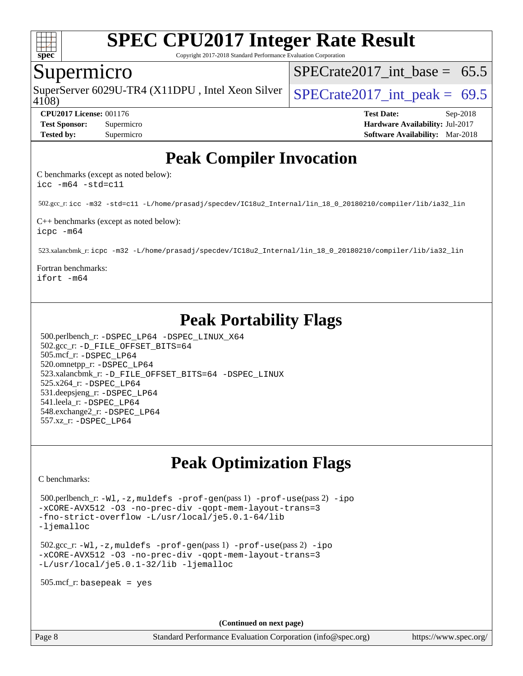

Copyright 2017-2018 Standard Performance Evaluation Corporation

#### Supermicro

SuperServer 6029U-TR4 (X11DPU, Intel Xeon Silver  $SPECrate2017$  int peak = 69.5

SPECrate2017 int\_base =  $65.5$ 

4108)

**[Tested by:](http://www.spec.org/auto/cpu2017/Docs/result-fields.html#Testedby)** Supermicro **Supermicro [Software Availability:](http://www.spec.org/auto/cpu2017/Docs/result-fields.html#SoftwareAvailability)** Mar-2018

**[CPU2017 License:](http://www.spec.org/auto/cpu2017/Docs/result-fields.html#CPU2017License)** 001176 **[Test Date:](http://www.spec.org/auto/cpu2017/Docs/result-fields.html#TestDate)** Sep-2018 **[Test Sponsor:](http://www.spec.org/auto/cpu2017/Docs/result-fields.html#TestSponsor)** Supermicro **[Hardware Availability:](http://www.spec.org/auto/cpu2017/Docs/result-fields.html#HardwareAvailability)** Jul-2017

### **[Peak Compiler Invocation](http://www.spec.org/auto/cpu2017/Docs/result-fields.html#PeakCompilerInvocation)**

[C benchmarks \(except as noted below\)](http://www.spec.org/auto/cpu2017/Docs/result-fields.html#Cbenchmarksexceptasnotedbelow): [icc -m64 -std=c11](http://www.spec.org/cpu2017/results/res2018q4/cpu2017-20181002-09048.flags.html#user_CCpeak_intel_icc_64bit_c11_33ee0cdaae7deeeab2a9725423ba97205ce30f63b9926c2519791662299b76a0318f32ddfffdc46587804de3178b4f9328c46fa7c2b0cd779d7a61945c91cd35)

502.gcc\_r: [icc -m32 -std=c11 -L/home/prasadj/specdev/IC18u2\\_Internal/lin\\_18\\_0\\_20180210/compiler/lib/ia32\\_lin](http://www.spec.org/cpu2017/results/res2018q4/cpu2017-20181002-09048.flags.html#user_peakCCLD502_gcc_r_intel_icc_a481ac844e7127046fad14d498c730a1848fa901fbbb2c3dfdd5e9fbbac777c8009953946d55d8b6afe8ed0da70dd2b4f8dedbdf7ab1ee211ba70d24a5d89f85)

[C++ benchmarks \(except as noted below\):](http://www.spec.org/auto/cpu2017/Docs/result-fields.html#CXXbenchmarksexceptasnotedbelow) [icpc -m64](http://www.spec.org/cpu2017/results/res2018q4/cpu2017-20181002-09048.flags.html#user_CXXpeak_intel_icpc_64bit_4ecb2543ae3f1412ef961e0650ca070fec7b7afdcd6ed48761b84423119d1bf6bdf5cad15b44d48e7256388bc77273b966e5eb805aefd121eb22e9299b2ec9d9)

523.xalancbmk\_r: [icpc -m32 -L/home/prasadj/specdev/IC18u2\\_Internal/lin\\_18\\_0\\_20180210/compiler/lib/ia32\\_lin](http://www.spec.org/cpu2017/results/res2018q4/cpu2017-20181002-09048.flags.html#user_peakCXXLD523_xalancbmk_r_intel_icpc_c6d030cd79af6ea7d6fb64c57e8fe7ae8fe0b96fc5a3b3f4a10e3273b3d7fa9decd8263f6330cef23f751cb093a69fae84a2bf4c243500a8eed069248128076f)

[Fortran benchmarks:](http://www.spec.org/auto/cpu2017/Docs/result-fields.html#Fortranbenchmarks) [ifort -m64](http://www.spec.org/cpu2017/results/res2018q4/cpu2017-20181002-09048.flags.html#user_FCpeak_intel_ifort_64bit_24f2bb282fbaeffd6157abe4f878425411749daecae9a33200eee2bee2fe76f3b89351d69a8130dd5949958ce389cf37ff59a95e7a40d588e8d3a57e0c3fd751)

# **[Peak Portability Flags](http://www.spec.org/auto/cpu2017/Docs/result-fields.html#PeakPortabilityFlags)**

 500.perlbench\_r: [-DSPEC\\_LP64](http://www.spec.org/cpu2017/results/res2018q4/cpu2017-20181002-09048.flags.html#b500.perlbench_r_peakPORTABILITY_DSPEC_LP64) [-DSPEC\\_LINUX\\_X64](http://www.spec.org/cpu2017/results/res2018q4/cpu2017-20181002-09048.flags.html#b500.perlbench_r_peakCPORTABILITY_DSPEC_LINUX_X64) 502.gcc\_r: [-D\\_FILE\\_OFFSET\\_BITS=64](http://www.spec.org/cpu2017/results/res2018q4/cpu2017-20181002-09048.flags.html#user_peakPORTABILITY502_gcc_r_file_offset_bits_64_5ae949a99b284ddf4e95728d47cb0843d81b2eb0e18bdfe74bbf0f61d0b064f4bda2f10ea5eb90e1dcab0e84dbc592acfc5018bc955c18609f94ddb8d550002c) 505.mcf\_r: [-DSPEC\\_LP64](http://www.spec.org/cpu2017/results/res2018q4/cpu2017-20181002-09048.flags.html#suite_peakPORTABILITY505_mcf_r_DSPEC_LP64) 520.omnetpp\_r: [-DSPEC\\_LP64](http://www.spec.org/cpu2017/results/res2018q4/cpu2017-20181002-09048.flags.html#suite_peakPORTABILITY520_omnetpp_r_DSPEC_LP64) 523.xalancbmk\_r: [-D\\_FILE\\_OFFSET\\_BITS=64](http://www.spec.org/cpu2017/results/res2018q4/cpu2017-20181002-09048.flags.html#user_peakPORTABILITY523_xalancbmk_r_file_offset_bits_64_5ae949a99b284ddf4e95728d47cb0843d81b2eb0e18bdfe74bbf0f61d0b064f4bda2f10ea5eb90e1dcab0e84dbc592acfc5018bc955c18609f94ddb8d550002c) [-DSPEC\\_LINUX](http://www.spec.org/cpu2017/results/res2018q4/cpu2017-20181002-09048.flags.html#b523.xalancbmk_r_peakCXXPORTABILITY_DSPEC_LINUX) 525.x264\_r: [-DSPEC\\_LP64](http://www.spec.org/cpu2017/results/res2018q4/cpu2017-20181002-09048.flags.html#suite_peakPORTABILITY525_x264_r_DSPEC_LP64) 531.deepsjeng\_r: [-DSPEC\\_LP64](http://www.spec.org/cpu2017/results/res2018q4/cpu2017-20181002-09048.flags.html#suite_peakPORTABILITY531_deepsjeng_r_DSPEC_LP64) 541.leela\_r: [-DSPEC\\_LP64](http://www.spec.org/cpu2017/results/res2018q4/cpu2017-20181002-09048.flags.html#suite_peakPORTABILITY541_leela_r_DSPEC_LP64) 548.exchange2\_r: [-DSPEC\\_LP64](http://www.spec.org/cpu2017/results/res2018q4/cpu2017-20181002-09048.flags.html#suite_peakPORTABILITY548_exchange2_r_DSPEC_LP64) 557.xz\_r: [-DSPEC\\_LP64](http://www.spec.org/cpu2017/results/res2018q4/cpu2017-20181002-09048.flags.html#suite_peakPORTABILITY557_xz_r_DSPEC_LP64)

## **[Peak Optimization Flags](http://www.spec.org/auto/cpu2017/Docs/result-fields.html#PeakOptimizationFlags)**

[C benchmarks](http://www.spec.org/auto/cpu2017/Docs/result-fields.html#Cbenchmarks):

 500.perlbench\_r: [-Wl,-z,muldefs](http://www.spec.org/cpu2017/results/res2018q4/cpu2017-20181002-09048.flags.html#user_peakEXTRA_LDFLAGS500_perlbench_r_link_force_multiple1_b4cbdb97b34bdee9ceefcfe54f4c8ea74255f0b02a4b23e853cdb0e18eb4525ac79b5a88067c842dd0ee6996c24547a27a4b99331201badda8798ef8a743f577) [-prof-gen](http://www.spec.org/cpu2017/results/res2018q4/cpu2017-20181002-09048.flags.html#user_peakPASS1_CFLAGSPASS1_LDFLAGS500_perlbench_r_prof_gen_5aa4926d6013ddb2a31985c654b3eb18169fc0c6952a63635c234f711e6e63dd76e94ad52365559451ec499a2cdb89e4dc58ba4c67ef54ca681ffbe1461d6b36)(pass 1) [-prof-use](http://www.spec.org/cpu2017/results/res2018q4/cpu2017-20181002-09048.flags.html#user_peakPASS2_CFLAGSPASS2_LDFLAGS500_perlbench_r_prof_use_1a21ceae95f36a2b53c25747139a6c16ca95bd9def2a207b4f0849963b97e94f5260e30a0c64f4bb623698870e679ca08317ef8150905d41bd88c6f78df73f19)(pass 2) [-ipo](http://www.spec.org/cpu2017/results/res2018q4/cpu2017-20181002-09048.flags.html#user_peakPASS1_COPTIMIZEPASS2_COPTIMIZE500_perlbench_r_f-ipo) [-xCORE-AVX512](http://www.spec.org/cpu2017/results/res2018q4/cpu2017-20181002-09048.flags.html#user_peakPASS2_COPTIMIZE500_perlbench_r_f-xCORE-AVX512) [-O3](http://www.spec.org/cpu2017/results/res2018q4/cpu2017-20181002-09048.flags.html#user_peakPASS1_COPTIMIZEPASS2_COPTIMIZE500_perlbench_r_f-O3) [-no-prec-div](http://www.spec.org/cpu2017/results/res2018q4/cpu2017-20181002-09048.flags.html#user_peakPASS1_COPTIMIZEPASS2_COPTIMIZE500_perlbench_r_f-no-prec-div) [-qopt-mem-layout-trans=3](http://www.spec.org/cpu2017/results/res2018q4/cpu2017-20181002-09048.flags.html#user_peakPASS1_COPTIMIZEPASS2_COPTIMIZE500_perlbench_r_f-qopt-mem-layout-trans_de80db37974c74b1f0e20d883f0b675c88c3b01e9d123adea9b28688d64333345fb62bc4a798493513fdb68f60282f9a726aa07f478b2f7113531aecce732043) [-fno-strict-overflow](http://www.spec.org/cpu2017/results/res2018q4/cpu2017-20181002-09048.flags.html#user_peakEXTRA_OPTIMIZE500_perlbench_r_f-fno-strict-overflow) [-L/usr/local/je5.0.1-64/lib](http://www.spec.org/cpu2017/results/res2018q4/cpu2017-20181002-09048.flags.html#user_peakEXTRA_LIBS500_perlbench_r_jemalloc_link_path64_4b10a636b7bce113509b17f3bd0d6226c5fb2346b9178c2d0232c14f04ab830f976640479e5c33dc2bcbbdad86ecfb6634cbbd4418746f06f368b512fced5394) [-ljemalloc](http://www.spec.org/cpu2017/results/res2018q4/cpu2017-20181002-09048.flags.html#user_peakEXTRA_LIBS500_perlbench_r_jemalloc_link_lib_d1249b907c500fa1c0672f44f562e3d0f79738ae9e3c4a9c376d49f265a04b9c99b167ecedbf6711b3085be911c67ff61f150a17b3472be731631ba4d0471706)

 502.gcc\_r: [-Wl,-z,muldefs](http://www.spec.org/cpu2017/results/res2018q4/cpu2017-20181002-09048.flags.html#user_peakEXTRA_LDFLAGS502_gcc_r_link_force_multiple1_b4cbdb97b34bdee9ceefcfe54f4c8ea74255f0b02a4b23e853cdb0e18eb4525ac79b5a88067c842dd0ee6996c24547a27a4b99331201badda8798ef8a743f577) [-prof-gen](http://www.spec.org/cpu2017/results/res2018q4/cpu2017-20181002-09048.flags.html#user_peakPASS1_CFLAGSPASS1_LDFLAGS502_gcc_r_prof_gen_5aa4926d6013ddb2a31985c654b3eb18169fc0c6952a63635c234f711e6e63dd76e94ad52365559451ec499a2cdb89e4dc58ba4c67ef54ca681ffbe1461d6b36)(pass 1) [-prof-use](http://www.spec.org/cpu2017/results/res2018q4/cpu2017-20181002-09048.flags.html#user_peakPASS2_CFLAGSPASS2_LDFLAGS502_gcc_r_prof_use_1a21ceae95f36a2b53c25747139a6c16ca95bd9def2a207b4f0849963b97e94f5260e30a0c64f4bb623698870e679ca08317ef8150905d41bd88c6f78df73f19)(pass 2) [-ipo](http://www.spec.org/cpu2017/results/res2018q4/cpu2017-20181002-09048.flags.html#user_peakPASS1_COPTIMIZEPASS2_COPTIMIZE502_gcc_r_f-ipo) [-xCORE-AVX512](http://www.spec.org/cpu2017/results/res2018q4/cpu2017-20181002-09048.flags.html#user_peakPASS2_COPTIMIZE502_gcc_r_f-xCORE-AVX512) [-O3](http://www.spec.org/cpu2017/results/res2018q4/cpu2017-20181002-09048.flags.html#user_peakPASS1_COPTIMIZEPASS2_COPTIMIZE502_gcc_r_f-O3) [-no-prec-div](http://www.spec.org/cpu2017/results/res2018q4/cpu2017-20181002-09048.flags.html#user_peakPASS1_COPTIMIZEPASS2_COPTIMIZE502_gcc_r_f-no-prec-div) [-qopt-mem-layout-trans=3](http://www.spec.org/cpu2017/results/res2018q4/cpu2017-20181002-09048.flags.html#user_peakPASS1_COPTIMIZEPASS2_COPTIMIZE502_gcc_r_f-qopt-mem-layout-trans_de80db37974c74b1f0e20d883f0b675c88c3b01e9d123adea9b28688d64333345fb62bc4a798493513fdb68f60282f9a726aa07f478b2f7113531aecce732043) [-L/usr/local/je5.0.1-32/lib](http://www.spec.org/cpu2017/results/res2018q4/cpu2017-20181002-09048.flags.html#user_peakEXTRA_LIBS502_gcc_r_jemalloc_link_path32_e29f22e8e6c17053bbc6a0971f5a9c01a601a06bb1a59df2084b77a2fe0a2995b64fd4256feaeea39eeba3aae142e96e2b2b0a28974019c0c0c88139a84f900a) [-ljemalloc](http://www.spec.org/cpu2017/results/res2018q4/cpu2017-20181002-09048.flags.html#user_peakEXTRA_LIBS502_gcc_r_jemalloc_link_lib_d1249b907c500fa1c0672f44f562e3d0f79738ae9e3c4a9c376d49f265a04b9c99b167ecedbf6711b3085be911c67ff61f150a17b3472be731631ba4d0471706)

505.mcf\_r: basepeak = yes

**(Continued on next page)**

Page 8 Standard Performance Evaluation Corporation [\(info@spec.org\)](mailto:info@spec.org) <https://www.spec.org/>